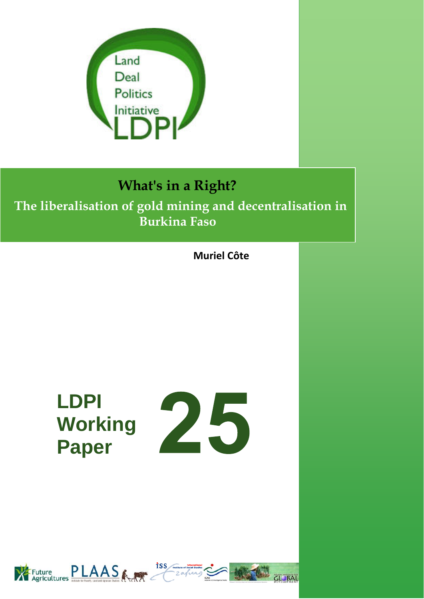

## **What's in a Right?**

### **The liberalisation of gold mining and decentralisation in Burkina Faso**

**Muriel Côte**

# **LDPI Working Paper**



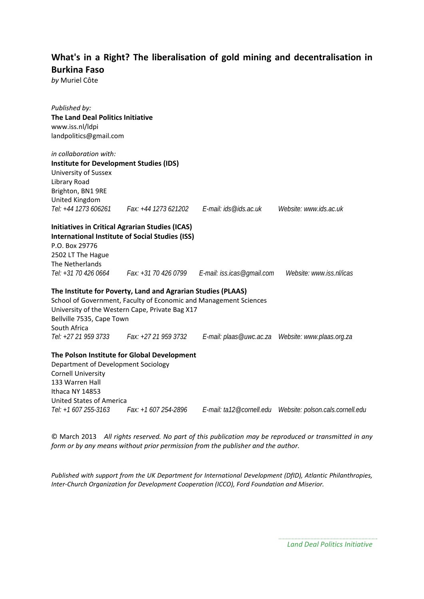#### **What's in a Right? The liberalisation of gold mining and decentralisation in Burkina Faso**

*by* Muriel Côte

*Published by:* **The Land Deal Politics Initiative** www.iss.nl/ldpi landpolitics@gmail.com *in collaboration with:*  **Institute for Development Studies (IDS)** University of Sussex Library Road Brighton, BN1 9RE United Kingdom<br>Tel: +44 1273 606261 *Tel: +44 1273 606261 Fax: +44 1273 621202 E-mail: ids@ids.ac.uk Website: www.ids.ac.uk*  **Initiatives in Critical Agrarian Studies (ICAS) International Institute of Social Studies (ISS)** P.O. Box 29776 2502 LT The Hague The Netherlands *Tel: +31 70 426 0664 Fax: +31 70 426 0799 E-mail: iss.icas@gmail.com Website: www.iss.nl/icas* **The Institute for Poverty, Land and Agrarian Studies (PLAAS)** School of Government, Faculty of Economic and Management Sciences University of the Western Cape, Private Bag X17 Bellville 7535, Cape Town South Africa *Tel: +27 21 959 3733 Fax: +27 21 959 3732 E-mail: plaas@uwc.ac.za Website: www.plaas.org.za*  **The Polson Institute for Global Development** Department of Development Sociology Cornell University 133 Warren Hall Ithaca NY 14853 United States of America *Tel: +1 607 255-3163 Fax: +1 607 254-2896 E-mail: ta12@cornell.edu Website: polson.cals.cornell.edu* 

© March 2013 *All rights reserved. No part of this publication may be reproduced or transmitted in any form or by any means without prior permission from the publisher and the author.*

*Published with support from the UK Department for International Development (DfID), Atlantic Philanthropies, Inter‐Church Organization for Development Cooperation (ICCO), Ford Foundation and Miserior.*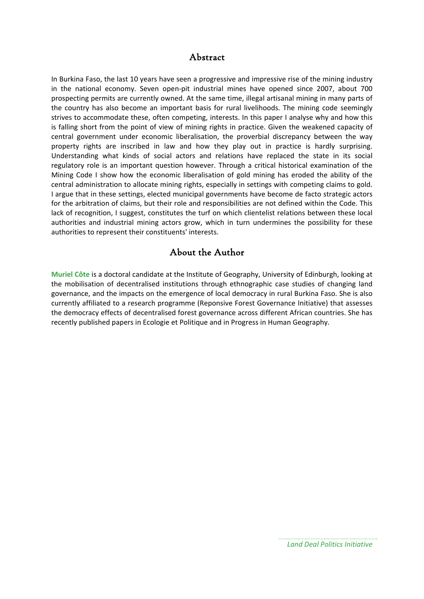#### Abstract

In Burkina Faso, the last 10 years have seen a progressive and impressive rise of the mining industry in the national economy. Seven open‐pit industrial mines have opened since 2007, about 700 prospecting permits are currently owned. At the same time, illegal artisanal mining in many parts of the country has also become an important basis for rural livelihoods. The mining code seemingly strives to accommodate these, often competing, interests. In this paper I analyse why and how this is falling short from the point of view of mining rights in practice. Given the weakened capacity of central government under economic liberalisation, the proverbial discrepancy between the way property rights are inscribed in law and how they play out in practice is hardly surprising. Understanding what kinds of social actors and relations have replaced the state in its social regulatory role is an important question however. Through a critical historical examination of the Mining Code I show how the economic liberalisation of gold mining has eroded the ability of the central administration to allocate mining rights, especially in settings with competing claims to gold. I argue that in these settings, elected municipal governments have become de facto strategic actors for the arbitration of claims, but their role and responsibilities are not defined within the Code. This lack of recognition, I suggest, constitutes the turf on which clientelist relations between these local authorities and industrial mining actors grow, which in turn undermines the possibility for these authorities to represent their constituents' interests.

#### About the Author

**Muriel Côte** is a doctoral candidate at the Institute of Geography, University of Edinburgh, looking at the mobilisation of decentralised institutions through ethnographic case studies of changing land governance, and the impacts on the emergence of local democracy in rural Burkina Faso. She is also currently affiliated to a research programme (Reponsive Forest Governance Initiative) that assesses the democracy effects of decentralised forest governance across different African countries. She has recently published papers in Ecologie et Politique and in Progress in Human Geography.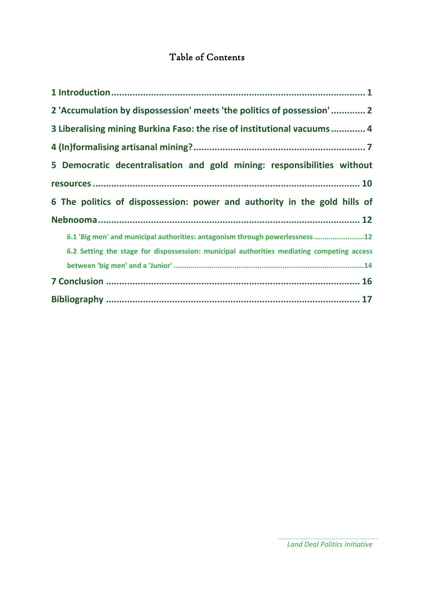#### Table of Contents

| 2 'Accumulation by dispossession' meets 'the politics of possession' 2                    |
|-------------------------------------------------------------------------------------------|
| 3 Liberalising mining Burkina Faso: the rise of institutional vacuums 4                   |
|                                                                                           |
| 5 Democratic decentralisation and gold mining: responsibilities without                   |
|                                                                                           |
| 6 The politics of dispossession: power and authority in the gold hills of                 |
|                                                                                           |
| 6.1 'Big men' and municipal authorities: antagonism through powerlessness12               |
| 6.2 Setting the stage for dispossession: municipal authorities mediating competing access |
|                                                                                           |
|                                                                                           |
|                                                                                           |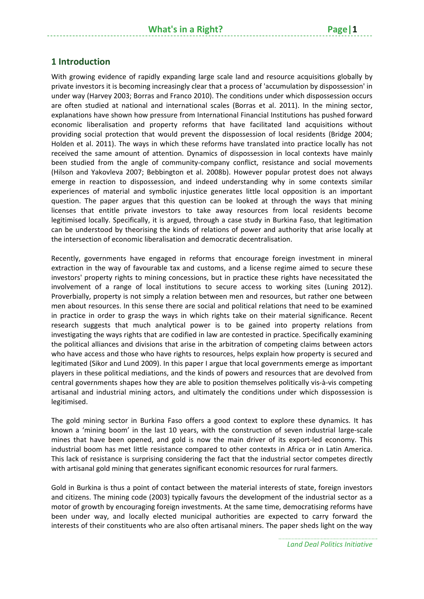#### **1 Introduction**

With growing evidence of rapidly expanding large scale land and resource acquisitions globally by private investors it is becoming increasingly clear that a process of 'accumulation by dispossession' in under way (Harvey 2003; Borras and Franco 2010). The conditions under which dispossession occurs are often studied at national and international scales (Borras et al. 2011). In the mining sector, explanations have shown how pressure from International Financial Institutions has pushed forward economic liberalisation and property reforms that have facilitated land acquisitions without providing social protection that would prevent the dispossession of local residents (Bridge 2004; Holden et al. 2011). The ways in which these reforms have translated into practice locally has not received the same amount of attention. Dynamics of dispossession in local contexts have mainly been studied from the angle of community-company conflict, resistance and social movements (Hilson and Yakovleva 2007; Bebbington et al. 2008b). However popular protest does not always emerge in reaction to dispossession, and indeed understanding why in some contexts similar experiences of material and symbolic injustice generates little local opposition is an important question. The paper argues that this question can be looked at through the ways that mining licenses that entitle private investors to take away resources from local residents become legitimised locally. Specifically, it is argued, through a case study in Burkina Faso, that legitimation can be understood by theorising the kinds of relations of power and authority that arise locally at the intersection of economic liberalisation and democratic decentralisation.

Recently, governments have engaged in reforms that encourage foreign investment in mineral extraction in the way of favourable tax and customs, and a license regime aimed to secure these investors' property rights to mining concessions, but in practice these rights have necessitated the involvement of a range of local institutions to secure access to working sites (Luning 2012). Proverbially, property is not simply a relation between men and resources, but rather one between men about resources. In this sense there are social and political relations that need to be examined in practice in order to grasp the ways in which rights take on their material significance. Recent research suggests that much analytical power is to be gained into property relations from investigating the ways rights that are codified in law are contested in practice. Specifically examining the political alliances and divisions that arise in the arbitration of competing claims between actors who have access and those who have rights to resources, helps explain how property is secured and legitimated (Sikor and Lund 2009). In this paper I argue that local governments emerge as important players in these political mediations, and the kinds of powers and resources that are devolved from central governments shapes how they are able to position themselves politically vis‐à‐vis competing artisanal and industrial mining actors, and ultimately the conditions under which dispossession is legitimised.

The gold mining sector in Burkina Faso offers a good context to explore these dynamics. It has known a 'mining boom' in the last 10 years, with the construction of seven industrial large-scale mines that have been opened, and gold is now the main driver of its export-led economy. This industrial boom has met little resistance compared to other contexts in Africa or in Latin America. This lack of resistance is surprising considering the fact that the industrial sector competes directly with artisanal gold mining that generates significant economic resources for rural farmers.

Gold in Burkina is thus a point of contact between the material interests of state, foreign investors and citizens. The mining code (2003) typically favours the development of the industrial sector as a motor of growth by encouraging foreign investments. At the same time, democratising reforms have been under way, and locally elected municipal authorities are expected to carry forward the interests of their constituents who are also often artisanal miners. The paper sheds light on the way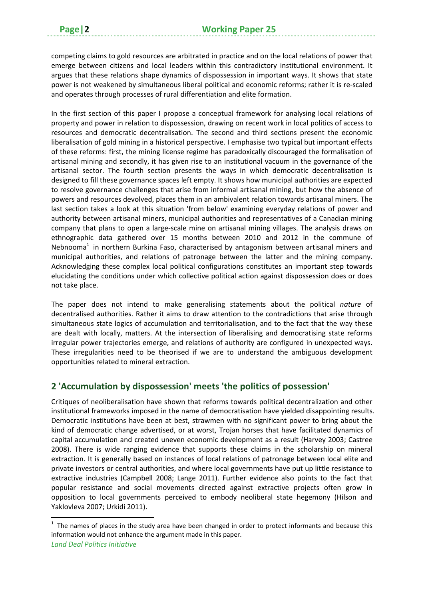competing claims to gold resources are arbitrated in practice and on the local relations of power that emerge between citizens and local leaders within this contradictory institutional environment. It argues that these relations shape dynamics of dispossession in important ways. It shows that state power is not weakened by simultaneous liberal political and economic reforms; rather it is re‐scaled and operates through processes of rural differentiation and elite formation.

In the first section of this paper I propose a conceptual framework for analysing local relations of property and power in relation to dispossession, drawing on recent work in local politics of access to resources and democratic decentralisation. The second and third sections present the economic liberalisation of gold mining in a historical perspective. I emphasise two typical but important effects of these reforms: first, the mining license regime has paradoxically discouraged the formalisation of artisanal mining and secondly, it has given rise to an institutional vacuum in the governance of the artisanal sector. The fourth section presents the ways in which democratic decentralisation is designed to fill these governance spaces left empty. It shows how municipal authorities are expected to resolve governance challenges that arise from informal artisanal mining, but how the absence of powers and resources devolved, places them in an ambivalent relation towards artisanal miners. The last section takes a look at this situation 'from below' examining everyday relations of power and authority between artisanal miners, municipal authorities and representatives of a Canadian mining company that plans to open a large-scale mine on artisanal mining villages. The analysis draws on ethnographic data gathered over 15 months between 2010 and 2012 in the commune of Nebnooma<sup>1</sup> in northern Burkina Faso, characterised by antagonism between artisanal miners and municipal authorities, and relations of patronage between the latter and the mining company. Acknowledging these complex local political configurations constitutes an important step towards elucidating the conditions under which collective political action against dispossession does or does not take place.

The paper does not intend to make generalising statements about the political *nature* of decentralised authorities. Rather it aims to draw attention to the contradictions that arise through simultaneous state logics of accumulation and territorialisation, and to the fact that the way these are dealt with locally, matters. At the intersection of liberalising and democratising state reforms irregular power trajectories emerge, and relations of authority are configured in unexpected ways. These irregularities need to be theorised if we are to understand the ambiguous development opportunities related to mineral extraction.

#### **2 'Accumulation by dispossession' meets 'the politics of possession'**

Critiques of neoliberalisation have shown that reforms towards political decentralization and other institutional frameworks imposed in the name of democratisation have yielded disappointing results. Democratic institutions have been at best, strawmen with no significant power to bring about the kind of democratic change advertised, or at worst, Trojan horses that have facilitated dynamics of capital accumulation and created uneven economic development as a result (Harvey 2003; Castree 2008). There is wide ranging evidence that supports these claims in the scholarship on mineral extraction. It is generally based on instances of local relations of patronage between local elite and private investors or central authorities, and where local governments have put up little resistance to extractive industries (Campbell 2008; Lange 2011). Further evidence also points to the fact that popular resistance and social movements directed against extractive projects often grow in opposition to local governments perceived to embody neoliberal state hegemony (Hilson and Yaklovleva 2007; Urkidi 2011).

 $1$  The names of places in the study area have been changed in order to protect informants and because this information would not enhance the argument made in this paper.

*Land Deal Politics Initiative*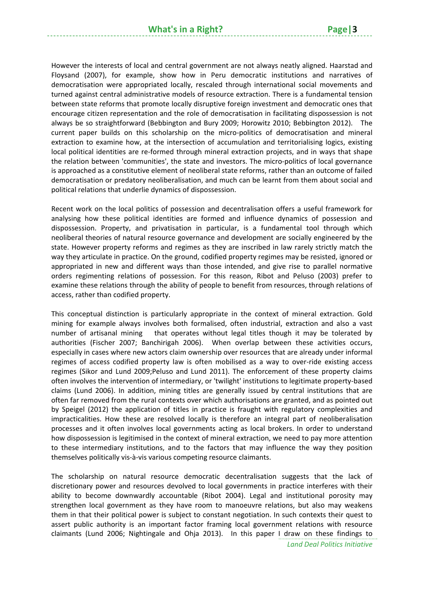However the interests of local and central government are not always neatly aligned. Haarstad and Floysand (2007), for example, show how in Peru democratic institutions and narratives of democratisation were appropriated locally, rescaled through international social movements and turned against central administrative models of resource extraction. There is a fundamental tension between state reforms that promote locally disruptive foreign investment and democratic ones that encourage citizen representation and the role of democratisation in facilitating dispossession is not always be so straightforward (Bebbington and Bury 2009; Horowitz 2010; Bebbington 2012). The current paper builds on this scholarship on the micro-politics of democratisation and mineral extraction to examine how, at the intersection of accumulation and territorialising logics, existing local political identities are re-formed through mineral extraction projects, and in ways that shape the relation between 'communities', the state and investors. The micro‐politics of local governance is approached as a constitutive element of neoliberal state reforms, rather than an outcome of failed democratisation or predatory neoliberalisation, and much can be learnt from them about social and political relations that underlie dynamics of dispossession.

Recent work on the local politics of possession and decentralisation offers a useful framework for analysing how these political identities are formed and influence dynamics of possession and dispossession. Property, and privatisation in particular, is a fundamental tool through which neoliberal theories of natural resource governance and development are socially engineered by the state. However property reforms and regimes as they are inscribed in law rarely strictly match the way they articulate in practice. On the ground, codified property regimes may be resisted, ignored or appropriated in new and different ways than those intended, and give rise to parallel normative orders regimenting relations of possession. For this reason, Ribot and Peluso (2003) prefer to examine these relations through the ability of people to benefit from resources, through relations of access, rather than codified property.

This conceptual distinction is particularly appropriate in the context of mineral extraction. Gold mining for example always involves both formalised, often industrial, extraction and also a vast number of artisanal mining that operates without legal titles though it may be tolerated by authorities (Fischer 2007; Banchirigah 2006). When overlap between these activities occurs, especially in cases where new actors claim ownership over resources that are already under informal regimes of access codified property law is often mobilised as a way to over-ride existing access regimes (Sikor and Lund 2009;Peluso and Lund 2011). The enforcement of these property claims often involves the intervention of intermediary, or 'twilight' institutions to legitimate property‐based claims (Lund 2006). In addition, mining titles are generally issued by central institutions that are often far removed from the rural contexts over which authorisations are granted, and as pointed out by Speigel (2012) the application of titles in practice is fraught with regulatory complexities and impracticalities. How these are resolved locally is therefore an integral part of neoliberalisation processes and it often involves local governments acting as local brokers. In order to understand how dispossession is legitimised in the context of mineral extraction, we need to pay more attention to these intermediary institutions, and to the factors that may influence the way they position themselves politically vis‐à‐vis various competing resource claimants.

The scholarship on natural resource democratic decentralisation suggests that the lack of discretionary power and resources devolved to local governments in practice interferes with their ability to become downwardly accountable (Ribot 2004). Legal and institutional porosity may strengthen local government as they have room to manoeuvre relations, but also may weakens them in that their political power is subject to constant negotiation. In such contexts their quest to assert public authority is an important factor framing local government relations with resource claimants (Lund 2006; Nightingale and Ohja 2013). In this paper I draw on these findings to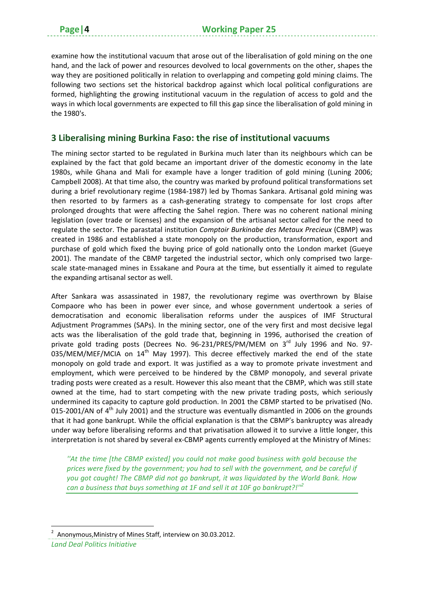examine how the institutional vacuum that arose out of the liberalisation of gold mining on the one hand, and the lack of power and resources devolved to local governments on the other, shapes the way they are positioned politically in relation to overlapping and competing gold mining claims. The following two sections set the historical backdrop against which local political configurations are formed, highlighting the growing institutional vacuum in the regulation of access to gold and the ways in which local governments are expected to fill this gap since the liberalisation of gold mining in the 1980's.

#### **3 Liberalising mining Burkina Faso: the rise of institutional vacuums**

The mining sector started to be regulated in Burkina much later than its neighbours which can be explained by the fact that gold became an important driver of the domestic economy in the late 1980s, while Ghana and Mali for example have a longer tradition of gold mining (Luning 2006; Campbell 2008). At that time also, the country was marked by profound political transformations set during a brief revolutionary regime (1984‐1987) led by Thomas Sankara. Artisanal gold mining was then resorted to by farmers as a cash-generating strategy to compensate for lost crops after prolonged droughts that were affecting the Sahel region. There was no coherent national mining legislation (over trade or licenses) and the expansion of the artisanal sector called for the need to regulate the sector. The parastatal institution *Comptoir Burkinabe des Metaux Precieux* (CBMP) was created in 1986 and established a state monopoly on the production, transformation, export and purchase of gold which fixed the buying price of gold nationally onto the London market (Gueye 2001). The mandate of the CBMP targeted the industrial sector, which only comprised two largescale state-managed mines in Essakane and Poura at the time, but essentially it aimed to regulate the expanding artisanal sector as well.

After Sankara was assassinated in 1987, the revolutionary regime was overthrown by Blaise Compaore who has been in power ever since, and whose government undertook a series of democratisation and economic liberalisation reforms under the auspices of IMF Structural Adjustment Programmes (SAPs). In the mining sector, one of the very first and most decisive legal acts was the liberalisation of the gold trade that, beginning in 1996, authorised the creation of private gold trading posts (Decrees No. 96-231/PRES/PM/MEM on 3<sup>rd</sup> July 1996 and No. 97-035/MEM/MEF/MCIA on  $14<sup>th</sup>$  May 1997). This decree effectively marked the end of the state monopoly on gold trade and export. It was justified as a way to promote private investment and employment, which were perceived to be hindered by the CBMP monopoly, and several private trading posts were created as a result. However this also meant that the CBMP, which was still state owned at the time, had to start competing with the new private trading posts, which seriously undermined its capacity to capture gold production. In 2001 the CBMP started to be privatised (No. 015-2001/AN of  $4<sup>th</sup>$  July 2001) and the structure was eventually dismantled in 2006 on the grounds that it had gone bankrupt. While the official explanation is that the CBMP's bankruptcy was already under way before liberalising reforms and that privatisation allowed it to survive a little longer, this interpretation is not shared by several ex-CBMP agents currently employed at the Ministry of Mines:

*''At the time [the CBMP existed] you could not make good business with gold because the prices were fixed by the government; you had to sell with the government, and be careful if you got caught! The CBMP did not go bankrupt, it was liquidated by the World Bank. How can a business that buys something at 1F and sell it at 10F go bankrupt?!''2*

<sup>&</sup>lt;sup>2</sup> Anonymous, Ministry of Mines Staff, interview on 30.03.2012.

*Land Deal Politics Initiative*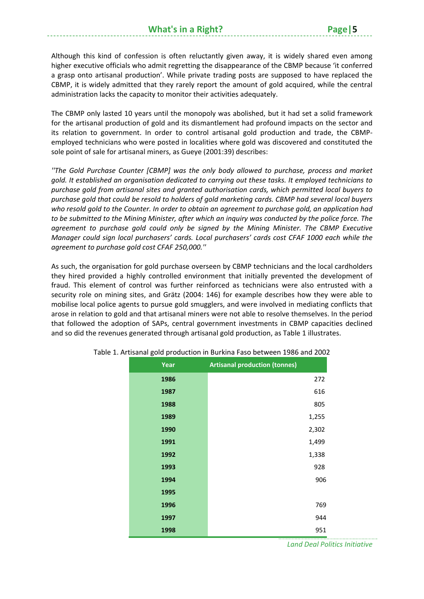Although this kind of confession is often reluctantly given away, it is widely shared even among higher executive officials who admit regretting the disappearance of the CBMP because 'it conferred a grasp onto artisanal production'. While private trading posts are supposed to have replaced the CBMP, it is widely admitted that they rarely report the amount of gold acquired, while the central administration lacks the capacity to monitor their activities adequately.

The CBMP only lasted 10 years until the monopoly was abolished, but it had set a solid framework for the artisanal production of gold and its dismantlement had profound impacts on the sector and its relation to government. In order to control artisanal gold production and trade, the CBMP‐ employed technicians who were posted in localities where gold was discovered and constituted the sole point of sale for artisanal miners, as Gueye (2001:39) describes:

*''The Gold Purchase Counter [CBMP] was the only body allowed to purchase, process and market gold. It established an organisation dedicated to carrying out these tasks. It employed technicians to purchase gold from artisanal sites and granted authorisation cards, which permitted local buyers to purchase gold that could be resold to holders of gold marketing cards. CBMP had several local buyers* who resold gold to the Counter. In order to obtain an agreement to purchase gold, an application had to be submitted to the Mining Minister, after which an inquiry was conducted by the police force. The *agreement to purchase gold could only be signed by the Mining Minister. The CBMP Executive Manager could sign local purchasers' cards. Local purchasers' cards cost CFAF 1000 each while the agreement to purchase gold cost CFAF 250,000.''*

As such, the organisation for gold purchase overseen by CBMP technicians and the local cardholders they hired provided a highly controlled environment that initially prevented the development of fraud. This element of control was further reinforced as technicians were also entrusted with a security role on mining sites, and Grätz (2004: 146) for example describes how they were able to mobilise local police agents to pursue gold smugglers, and were involved in mediating conflicts that arose in relation to gold and that artisanal miners were not able to resolve themselves. In the period that followed the adoption of SAPs, central government investments in CBMP capacities declined and so did the revenues generated through artisanal gold production, as Table 1 illustrates.

| Year | <b>Artisanal production (tonnes)</b> |
|------|--------------------------------------|
| 1986 | 272                                  |
| 1987 | 616                                  |
| 1988 | 805                                  |
| 1989 | 1,255                                |
| 1990 | 2,302                                |
| 1991 | 1,499                                |
| 1992 | 1,338                                |
| 1993 | 928                                  |
| 1994 | 906                                  |
| 1995 |                                      |
| 1996 | 769                                  |
| 1997 | 944                                  |
| 1998 | 951                                  |

Table 1. Artisanal gold production in Burkina Faso between 1986 and 2002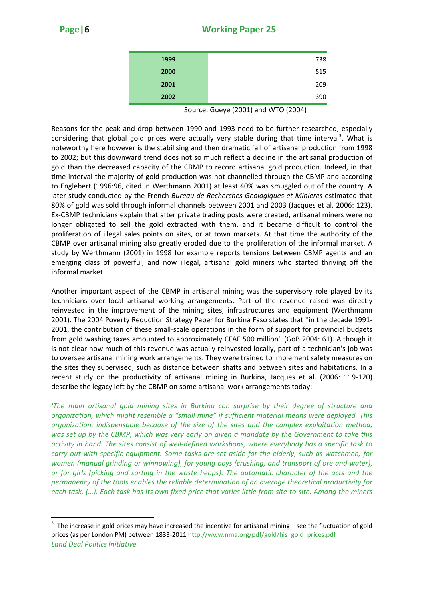| 1999 | 738 |
|------|-----|
| 2000 | 515 |
| 2001 | 209 |
| 2002 | 390 |
|      |     |

Source: Gueye (2001) and WTO (2004)

Reasons for the peak and drop between 1990 and 1993 need to be further researched, especially considering that global gold prices were actually very stable during that time interval<sup>3</sup>. What is noteworthy here however is the stabilising and then dramatic fall of artisanal production from 1998 to 2002; but this downward trend does not so much reflect a decline in the artisanal production of gold than the decreased capacity of the CBMP to record artisanal gold production. Indeed, in that time interval the majority of gold production was not channelled through the CBMP and according to Englebert (1996:96, cited in Werthmann 2001) at least 40% was smuggled out of the country. A later study conducted by the French *Bureau de Recherches Geologiques et Minieres* estimated that 80% of gold was sold through informal channels between 2001 and 2003 (Jacques et al. 2006: 123). Ex‐CBMP technicians explain that after private trading posts were created, artisanal miners were no longer obligated to sell the gold extracted with them, and it became difficult to control the proliferation of illegal sales points on sites, or at town markets. At that time the authority of the CBMP over artisanal mining also greatly eroded due to the proliferation of the informal market. A study by Werthmann (2001) in 1998 for example reports tensions between CBMP agents and an emerging class of powerful, and now illegal, artisanal gold miners who started thriving off the informal market.

Another important aspect of the CBMP in artisanal mining was the supervisory role played by its technicians over local artisanal working arrangements. Part of the revenue raised was directly reinvested in the improvement of the mining sites, infrastructures and equipment (Werthmann 2001). The 2004 Poverty Reduction Strategy Paper for Burkina Faso states that ''in the decade 1991‐ 2001, the contribution of these small‐scale operations in the form of support for provincial budgets from gold washing taxes amounted to approximately CFAF 500 million'' (GoB 2004: 61). Although it is not clear how much of this revenue was actually reinvested locally, part of a technician's job was to oversee artisanal mining work arrangements. They were trained to implement safety measures on the sites they supervised, such as distance between shafts and between sites and habitations. In a recent study on the productivity of artisanal mining in Burkina, Jacques et al. (2006: 119‐120) describe the legacy left by the CBMP on some artisanal work arrangements today:

*'The main artisanal gold mining sites in Burkina can surprise by their degree of structure and organization, which might resemble a "small mine" if sufficient material means were deployed. This organization, indispensable because of the size of the sites and the complex exploitation method,* was set up by the CBMP, which was very early on given a mandate by the Government to take this activity in hand. The sites consist of well-defined workshops, where everybody has a specific task to *carry out with specific equipment. Some tasks are set aside for the elderly, such as watchmen, for women (manual grinding or winnowing), for young boys (crushing, and transport of ore and water), or for girls (picking and sorting in the waste heaps). The automatic character of the acts and the permanency of the tools enables the reliable determination of an average theoretical productivity for* each task. (...). Each task has its own fixed price that varies little from site-to-site. Among the miners

 $3$  The increase in gold prices may have increased the incentive for artisanal mining – see the fluctuation of gold prices (as per London PM) between 1833-2011 http://www.nma.org/pdf/gold/his\_gold\_prices.pdf

*Land Deal Politics Initiative*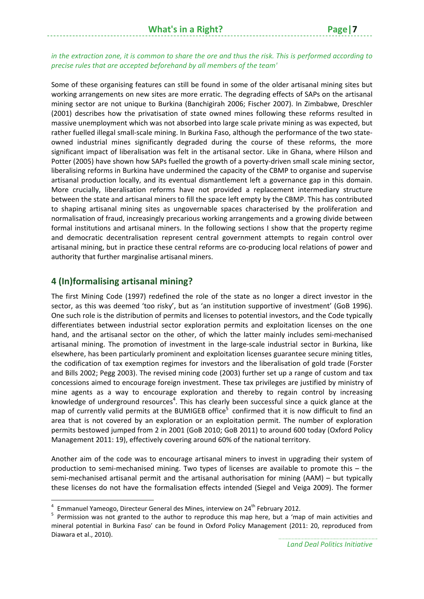Some of these organising features can still be found in some of the older artisanal mining sites but working arrangements on new sites are more erratic. The degrading effects of SAPs on the artisanal mining sector are not unique to Burkina (Banchigirah 2006; Fischer 2007). In Zimbabwe, Dreschler (2001) describes how the privatisation of state owned mines following these reforms resulted in massive unemployment which was not absorbed into large scale private mining as was expected, but rather fuelled illegal small‐scale mining. In Burkina Faso, although the performance of the two state‐ owned industrial mines significantly degraded during the course of these reforms, the more significant impact of liberalisation was felt in the artisanal sector. Like in Ghana, where Hilson and Potter (2005) have shown how SAPs fuelled the growth of a poverty-driven small scale mining sector, liberalising reforms in Burkina have undermined the capacity of the CBMP to organise and supervise artisanal production locally, and its eventual dismantlement left a governance gap in this domain. More crucially, liberalisation reforms have not provided a replacement intermediary structure between the state and artisanal miners to fill the space left empty by the CBMP. This has contributed to shaping artisanal mining sites as ungovernable spaces characterised by the proliferation and normalisation of fraud, increasingly precarious working arrangements and a growing divide between formal institutions and artisanal miners. In the following sections I show that the property regime and democratic decentralisation represent central government attempts to regain control over artisanal mining, but in practice these central reforms are co-producing local relations of power and authority that further marginalise artisanal miners.

#### **4 (In)formalising artisanal mining?**

The first Mining Code (1997) redefined the role of the state as no longer a direct investor in the sector, as this was deemed 'too risky', but as 'an institution supportive of investment' (GoB 1996). One such role is the distribution of permits and licenses to potential investors, and the Code typically differentiates between industrial sector exploration permits and exploitation licenses on the one hand, and the artisanal sector on the other, of which the latter mainly includes semi-mechanised artisanal mining. The promotion of investment in the large‐scale industrial sector in Burkina, like elsewhere, has been particularly prominent and exploitation licenses guarantee secure mining titles, the codification of tax exemption regimes for investors and the liberalisation of gold trade (Forster and Bills 2002; Pegg 2003). The revised mining code (2003) further set up a range of custom and tax concessions aimed to encourage foreign investment. These tax privileges are justified by ministry of mine agents as a way to encourage exploration and thereby to regain control by increasing knowledge of underground resources<sup>4</sup>. This has clearly been successful since a quick glance at the map of currently valid permits at the BUMIGEB office<sup>5</sup> confirmed that it is now difficult to find an area that is not covered by an exploration or an exploitation permit. The number of exploration permits bestowed jumped from 2 in 2001 (GoB 2010; GoB 2011) to around 600 today (Oxford Policy Management 2011: 19), effectively covering around 60% of the national territory.

Another aim of the code was to encourage artisanal miners to invest in upgrading their system of production to semi‐mechanised mining. Two types of licenses are available to promote this – the semi-mechanised artisanal permit and the artisanal authorisation for mining (AAM) – but typically these licenses do not have the formalisation effects intended (Siegel and Veiga 2009). The former

<sup>&</sup>lt;sup>4</sup> Emmanuel Yameogo, Directeur General des Mines, interview on 24<sup>th</sup> February 2012.<br><sup>5</sup> Permission was not granted to the author to reproduce this map here, but a 'map of main activities and mineral potential in Burkina Faso' can be found in Oxford Policy Management (2011: 20, reproduced from Diawara et al., 2010).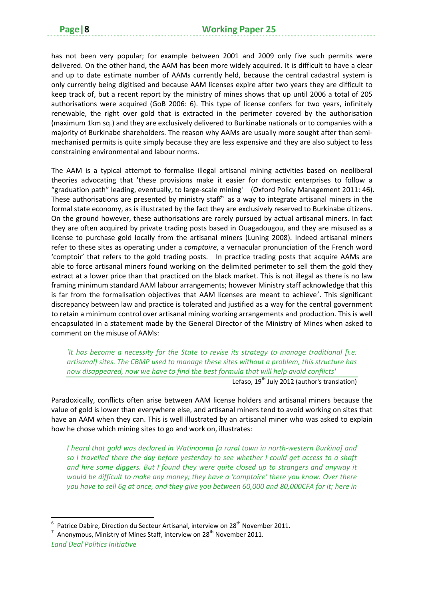has not been very popular; for example between 2001 and 2009 only five such permits were delivered. On the other hand, the AAM has been more widely acquired. It is difficult to have a clear and up to date estimate number of AAMs currently held, because the central cadastral system is only currently being digitised and because AAM licenses expire after two years they are difficult to keep track of, but a recent report by the ministry of mines shows that up until 2006 a total of 205 authorisations were acquired (GoB 2006: 6). This type of license confers for two years, infinitely renewable, the right over gold that is extracted in the perimeter covered by the authorisation (maximum 1km sq.) and they are exclusively delivered to Burkinabe nationals or to companies with a majority of Burkinabe shareholders. The reason why AAMs are usually more sought after than semi‐ mechanised permits is quite simply because they are less expensive and they are also subject to less constraining environmental and labour norms.

The AAM is a typical attempt to formalise illegal artisanal mining activities based on neoliberal theories advocating that 'these provisions make it easier for domestic enterprises to follow a "graduation path" leading, eventually, to large‐scale mining' (Oxford Policy Management 2011: 46). These authorisations are presented by ministry staff $6$  as a way to integrate artisanal miners in the formal state economy, as is illustrated by the fact they are exclusively reserved to Burkinabe citizens. On the ground however, these authorisations are rarely pursued by actual artisanal miners. In fact they are often acquired by private trading posts based in Ouagadougou, and they are misused as a license to purchase gold locally from the artisanal miners (Luning 2008). Indeed artisanal miners refer to these sites as operating under a *comptoire*, a vernacular pronunciation of the French word 'comptoir' that refers to the gold trading posts. In practice trading posts that acquire AAMs are able to force artisanal miners found working on the delimited perimeter to sell them the gold they extract at a lower price than that practiced on the black market. This is not illegal as there is no law framing minimum standard AAM labour arrangements; however Ministry staff acknowledge that this is far from the formalisation objectives that AAM licenses are meant to achieve<sup>7</sup>. This significant discrepancy between law and practice is tolerated and justified as a way for the central government to retain a minimum control over artisanal mining working arrangements and production. This is well encapsulated in a statement made by the General Director of the Ministry of Mines when asked to comment on the misuse of AAMs:

*'It has become a necessity for the State to revise its strategy to manage traditional [i.e. artisanal] sites. The CBMP used to manage these sites without a problem, this structure has now disappeared, now we have to find the best formula that will help avoid conflicts'*

Lefaso, 19<sup>th</sup> July 2012 (author's translation)

Paradoxically, conflicts often arise between AAM license holders and artisanal miners because the value of gold is lower than everywhere else, and artisanal miners tend to avoid working on sites that have an AAM when they can. This is well illustrated by an artisanal miner who was asked to explain how he chose which mining sites to go and work on, illustrates:

*I heard that gold was declared in Watinooma [a rural town in north‐western Burkina] and so I travelled there the day before yesterday to see whether I could get access to a shaft and hire some diggers. But I found they were quite closed up to strangers and anyway it would be difficult to make any money; they have a 'comptoire' there you know. Over there you have to sell 6g at once, and they give you between 60,000 and 80,000CFA for it; here in*

<sup>&</sup>lt;sup>6</sup> Patrice Dabire, Direction du Secteur Artisanal, interview on 28<sup>th</sup> November 2011.<br><sup>7</sup> Anonymous, Ministry of Mines Staff, interview on 28<sup>th</sup> November 2011.

*Land Deal Politics Initiative*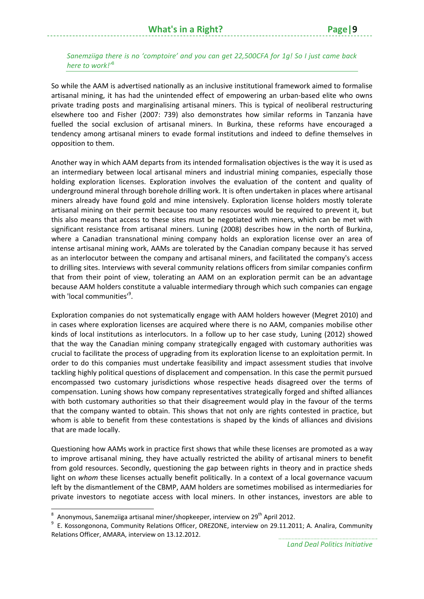#### *Sanemziiga there is no 'comptoire' and you can get 22,500CFA for 1g! So I just came back here to work!'*<sup>8</sup>

So while the AAM is advertised nationally as an inclusive institutional framework aimed to formalise artisanal mining, it has had the unintended effect of empowering an urban‐based elite who owns private trading posts and marginalising artisanal miners. This is typical of neoliberal restructuring elsewhere too and Fisher (2007: 739) also demonstrates how similar reforms in Tanzania have fuelled the social exclusion of artisanal miners. In Burkina, these reforms have encouraged a tendency among artisanal miners to evade formal institutions and indeed to define themselves in opposition to them.

Another way in which AAM departs from its intended formalisation objectives is the way it is used as an intermediary between local artisanal miners and industrial mining companies, especially those holding exploration licenses. Exploration involves the evaluation of the content and quality of underground mineral through borehole drilling work. It is often undertaken in places where artisanal miners already have found gold and mine intensively. Exploration license holders mostly tolerate artisanal mining on their permit because too many resources would be required to prevent it, but this also means that access to these sites must be negotiated with miners, which can be met with significant resistance from artisanal miners. Luning (2008) describes how in the north of Burkina, where a Canadian transnational mining company holds an exploration license over an area of intense artisanal mining work, AAMs are tolerated by the Canadian company because it has served as an interlocutor between the company and artisanal miners, and facilitated the company's access to drilling sites. Interviews with several community relations officers from similar companies confirm that from their point of view, tolerating an AAM on an exploration permit can be an advantage because AAM holders constitute a valuable intermediary through which such companies can engage with 'local communities'<sup>9</sup>.

Exploration companies do not systematically engage with AAM holders however (Megret 2010) and in cases where exploration licenses are acquired where there is no AAM, companies mobilise other kinds of local institutions as interlocutors. In a follow up to her case study, Luning (2012) showed that the way the Canadian mining company strategically engaged with customary authorities was crucial to facilitate the process of upgrading from its exploration license to an exploitation permit. In order to do this companies must undertake feasibility and impact assessment studies that involve tackling highly political questions of displacement and compensation. In this case the permit pursued encompassed two customary jurisdictions whose respective heads disagreed over the terms of compensation. Luning shows how company representatives strategically forged and shifted alliances with both customary authorities so that their disagreement would play in the favour of the terms that the company wanted to obtain. This shows that not only are rights contested in practice, but whom is able to benefit from these contestations is shaped by the kinds of alliances and divisions that are made locally.

Questioning how AAMs work in practice first shows that while these licenses are promoted as a way to improve artisanal mining, they have actually restricted the ability of artisanal miners to benefit from gold resources. Secondly, questioning the gap between rights in theory and in practice sheds light on *whom* these licenses actually benefit politically. In a context of a local governance vacuum left by the dismantlement of the CBMP, AAM holders are sometimes mobilised as intermediaries for private investors to negotiate access with local miners. In other instances, investors are able to

<sup>&</sup>lt;sup>8</sup> Anonymous, Sanemziiga artisanal miner/shopkeeper, interview on 29<sup>th</sup> April 2012.<br><sup>9</sup> E. Kossongonona, Community Relations Officer, OREZONE, interview on 29.11.2011; A. Analira, Community Relations Officer, AMARA, interview on 13.12.2012.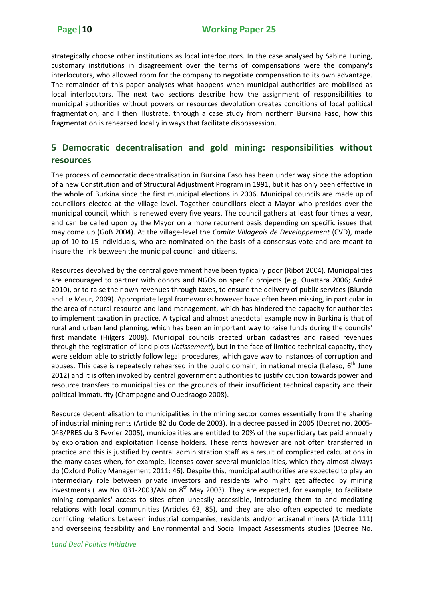strategically choose other institutions as local interlocutors. In the case analysed by Sabine Luning, customary institutions in disagreement over the terms of compensations were the company's interlocutors, who allowed room for the company to negotiate compensation to its own advantage. The remainder of this paper analyses what happens when municipal authorities are mobilised as local interlocutors. The next two sections describe how the assignment of responsibilities to municipal authorities without powers or resources devolution creates conditions of local political fragmentation, and I then illustrate, through a case study from northern Burkina Faso, how this fragmentation is rehearsed locally in ways that facilitate dispossession.

#### **5 Democratic decentralisation and gold mining: responsibilities without resources**

The process of democratic decentralisation in Burkina Faso has been under way since the adoption of a new Constitution and of Structural Adjustment Program in 1991, but it has only been effective in the whole of Burkina since the first municipal elections in 2006. Municipal councils are made up of councillors elected at the village‐level. Together councillors elect a Mayor who presides over the municipal council, which is renewed every five years. The council gathers at least four times a year, and can be called upon by the Mayor on a more recurrent basis depending on specific issues that may come up (GoB 2004). At the village‐level the *Comite Villageois de Developpement* (CVD), made up of 10 to 15 individuals, who are nominated on the basis of a consensus vote and are meant to insure the link between the municipal council and citizens.

Resources devolved by the central government have been typically poor (Ribot 2004). Municipalities are encouraged to partner with donors and NGOs on specific projects (e.g. Ouattara 2006; André 2010), or to raise their own revenues through taxes, to ensure the delivery of public services (Blundo and Le Meur, 2009). Appropriate legal frameworks however have often been missing, in particular in the area of natural resource and land management, which has hindered the capacity for authorities to implement taxation in practice. A typical and almost anecdotal example now in Burkina is that of rural and urban land planning, which has been an important way to raise funds during the councils' first mandate (Hilgers 2008). Municipal councils created urban cadastres and raised revenues through the registration of land plots (*lotissement*), but in the face of limited technical capacity, they were seldom able to strictly follow legal procedures, which gave way to instances of corruption and abuses. This case is repeatedly rehearsed in the public domain, in national media (Lefaso,  $6<sup>th</sup>$  June 2012) and it is often invoked by central government authorities to justify caution towards power and resource transfers to municipalities on the grounds of their insufficient technical capacity and their political immaturity (Champagne and Ouedraogo 2008).

Resource decentralisation to municipalities in the mining sector comes essentially from the sharing of industrial mining rents (Article 82 du Code de 2003). In a decree passed in 2005 (Decret no. 2005‐ 048/PRES du 3 Fevrier 2005), municipalities are entitled to 20% of the superficiary tax paid annually by exploration and exploitation license holders. These rents however are not often transferred in practice and this is justified by central administration staff as a result of complicated calculations in the many cases when, for example, licenses cover several municipalities, which they almost always do (Oxford Policy Management 2011: 46). Despite this, municipal authorities are expected to play an intermediary role between private investors and residents who might get affected by mining investments (Law No. 031-2003/AN on 8<sup>th</sup> May 2003). They are expected, for example, to facilitate mining companies' access to sites often uneasily accessible, introducing them to and mediating relations with local communities (Articles 63, 85), and they are also often expected to mediate conflicting relations between industrial companies, residents and/or artisanal miners (Article 111) and overseeing feasibility and Environmental and Social Impact Assessments studies (Decree No.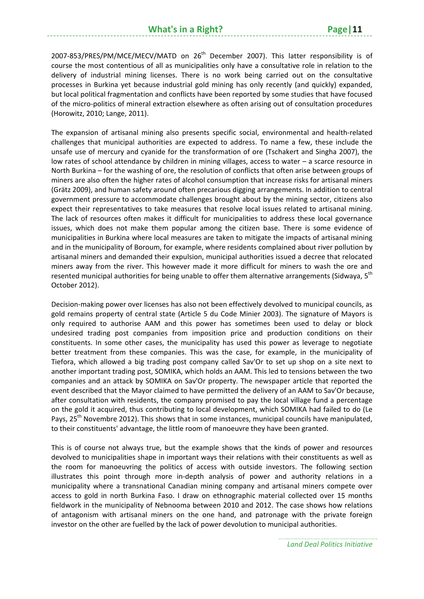2007-853/PRES/PM/MCE/MECV/MATD on 26<sup>th</sup> December 2007). This latter responsibility is of course the most contentious of all as municipalities only have a consultative role in relation to the delivery of industrial mining licenses. There is no work being carried out on the consultative processes in Burkina yet because industrial gold mining has only recently (and quickly) expanded, but local political fragmentation and conflicts have been reported by some studies that have focused of the micro‐politics of mineral extraction elsewhere as often arising out of consultation procedures (Horowitz, 2010; Lange, 2011).

The expansion of artisanal mining also presents specific social, environmental and health‐related challenges that municipal authorities are expected to address. To name a few, these include the unsafe use of mercury and cyanide for the transformation of ore (Tschakert and Singha 2007), the low rates of school attendance by children in mining villages, access to water – a scarce resource in North Burkina – for the washing of ore, the resolution of conflicts that often arise between groups of miners are also often the higher rates of alcohol consumption that increase risks for artisanal miners (Grätz 2009), and human safety around often precarious digging arrangements. In addition to central government pressure to accommodate challenges brought about by the mining sector, citizens also expect their representatives to take measures that resolve local issues related to artisanal mining. The lack of resources often makes it difficult for municipalities to address these local governance issues, which does not make them popular among the citizen base. There is some evidence of municipalities in Burkina where local measures are taken to mitigate the impacts of artisanal mining and in the municipality of Boroum, for example, where residents complained about river pollution by artisanal miners and demanded their expulsion, municipal authorities issued a decree that relocated miners away from the river. This however made it more difficult for miners to wash the ore and resented municipal authorities for being unable to offer them alternative arrangements (Sidwaya, 5<sup>th</sup> October 2012).

Decision‐making power over licenses has also not been effectively devolved to municipal councils, as gold remains property of central state (Article 5 du Code Minier 2003). The signature of Mayors is only required to authorise AAM and this power has sometimes been used to delay or block undesired trading post companies from imposition price and production conditions on their constituents. In some other cases, the municipality has used this power as leverage to negotiate better treatment from these companies. This was the case, for example, in the municipality of Tiefora, which allowed a big trading post company called Sav'Or to set up shop on a site next to another important trading post, SOMIKA, which holds an AAM. This led to tensions between the two companies and an attack by SOMIKA on Sav'Or property. The newspaper article that reported the event described that the Mayor claimed to have permitted the delivery of an AAM to Sav'Or because, after consultation with residents, the company promised to pay the local village fund a percentage on the gold it acquired, thus contributing to local development, which SOMIKA had failed to do (Le Pays, 25<sup>th</sup> Novembre 2012). This shows that in some instances, municipal councils have manipulated, to their constituents' advantage, the little room of manoeuvre they have been granted.

This is of course not always true, but the example shows that the kinds of power and resources devolved to municipalities shape in important ways their relations with their constituents as well as the room for manoeuvring the politics of access with outside investors. The following section illustrates this point through more in‐depth analysis of power and authority relations in a municipality where a transnational Canadian mining company and artisanal miners compete over access to gold in north Burkina Faso. I draw on ethnographic material collected over 15 months fieldwork in the municipality of Nebnooma between 2010 and 2012. The case shows how relations of antagonism with artisanal miners on the one hand, and patronage with the private foreign investor on the other are fuelled by the lack of power devolution to municipal authorities.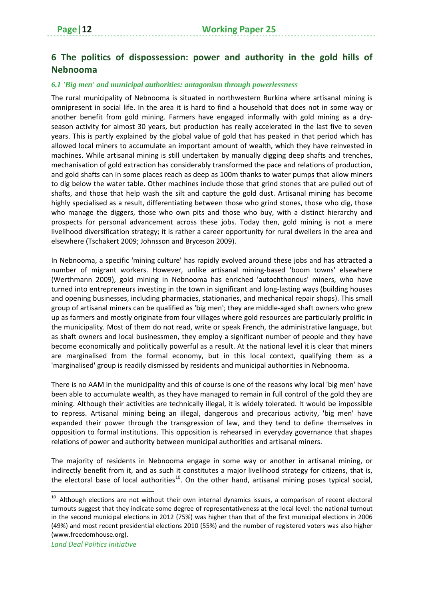#### **6 The politics of dispossession: power and authority in the gold hills of Nebnooma**

#### *6.1 'Big men' and municipal authorities: antagonism through powerlessness*

The rural municipality of Nebnooma is situated in northwestern Burkina where artisanal mining is omnipresent in social life. In the area it is hard to find a household that does not in some way or another benefit from gold mining. Farmers have engaged informally with gold mining as a dry‐ season activity for almost 30 years, but production has really accelerated in the last five to seven years. This is partly explained by the global value of gold that has peaked in that period which has allowed local miners to accumulate an important amount of wealth, which they have reinvested in machines. While artisanal mining is still undertaken by manually digging deep shafts and trenches, mechanisation of gold extraction has considerably transformed the pace and relations of production, and gold shafts can in some places reach as deep as 100m thanks to water pumps that allow miners to dig below the water table. Other machines include those that grind stones that are pulled out of shafts, and those that help wash the silt and capture the gold dust. Artisanal mining has become highly specialised as a result, differentiating between those who grind stones, those who dig, those who manage the diggers, those who own pits and those who buy, with a distinct hierarchy and prospects for personal advancement across these jobs. Today then, gold mining is not a mere livelihood diversification strategy; it is rather a career opportunity for rural dwellers in the area and elsewhere (Tschakert 2009; Johnsson and Bryceson 2009).

In Nebnooma, a specific 'mining culture' has rapidly evolved around these jobs and has attracted a number of migrant workers. However, unlike artisanal mining-based 'boom towns' elsewhere (Werthmann 2009), gold mining in Nebnooma has enriched 'autochthonous' miners, who have turned into entrepreneurs investing in the town in significant and long‐lasting ways (building houses and opening businesses, including pharmacies, stationaries, and mechanical repair shops). This small group of artisanal miners can be qualified as 'big men'; they are middle‐aged shaft owners who grew up as farmers and mostly originate from four villages where gold resources are particularly prolific in the municipality. Most of them do not read, write or speak French, the administrative language, but as shaft owners and local businessmen, they employ a significant number of people and they have become economically and politically powerful as a result. At the national level it is clear that miners are marginalised from the formal economy, but in this local context, qualifying them as a 'marginalised' group is readily dismissed by residents and municipal authorities in Nebnooma.

There is no AAM in the municipality and this of course is one of the reasons why local 'big men' have been able to accumulate wealth, as they have managed to remain in full control of the gold they are mining. Although their activities are technically illegal, it is widely tolerated. It would be impossible to repress. Artisanal mining being an illegal, dangerous and precarious activity, 'big men' have expanded their power through the transgression of law, and they tend to define themselves in opposition to formal institutions. This opposition is rehearsed in everyday governance that shapes relations of power and authority between municipal authorities and artisanal miners.

The majority of residents in Nebnooma engage in some way or another in artisanal mining, or indirectly benefit from it, and as such it constitutes a major livelihood strategy for citizens, that is, the electoral base of local authorities<sup>10</sup>. On the other hand, artisanal mining poses typical social,

 $10$  Although elections are not without their own internal dynamics issues, a comparison of recent electoral turnouts suggest that they indicate some degree of representativeness at the local level: the national turnout in the second municipal elections in 2012 (75%) was higher than that of the first municipal elections in 2006 (49%) and most recent presidential elections 2010 (55%) and the number of registered voters was also higher (www.freedomhouse.org).

*Land Deal Politics Initiative*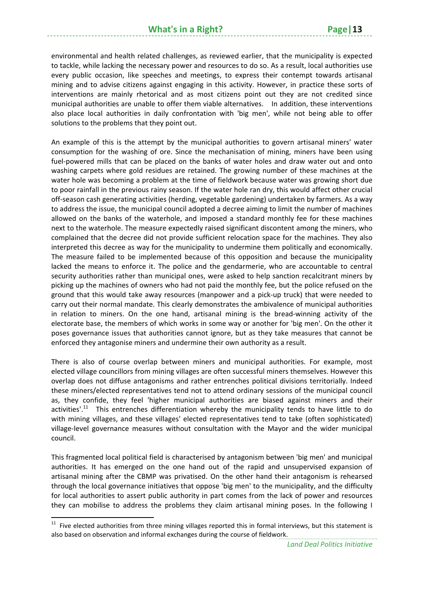environmental and health related challenges, as reviewed earlier, that the municipality is expected to tackle, while lacking the necessary power and resources to do so. As a result, local authorities use every public occasion, like speeches and meetings, to express their contempt towards artisanal mining and to advise citizens against engaging in this activity. However, in practice these sorts of interventions are mainly rhetorical and as most citizens point out they are not credited since municipal authorities are unable to offer them viable alternatives. In addition, these interventions also place local authorities in daily confrontation with 'big men', while not being able to offer solutions to the problems that they point out.

An example of this is the attempt by the municipal authorities to govern artisanal miners' water consumption for the washing of ore. Since the mechanisation of mining, miners have been using fuel-powered mills that can be placed on the banks of water holes and draw water out and onto washing carpets where gold residues are retained. The growing number of these machines at the water hole was becoming a problem at the time of fieldwork because water was growing short due to poor rainfall in the previous rainy season. If the water hole ran dry, this would affect other crucial off‐season cash generating activities (herding, vegetable gardening) undertaken by farmers. As a way to address the issue, the municipal council adopted a decree aiming to limit the number of machines allowed on the banks of the waterhole, and imposed a standard monthly fee for these machines next to the waterhole. The measure expectedly raised significant discontent among the miners, who complained that the decree did not provide sufficient relocation space for the machines. They also interpreted this decree as way for the municipality to undermine them politically and economically. The measure failed to be implemented because of this opposition and because the municipality lacked the means to enforce it. The police and the gendarmerie, who are accountable to central security authorities rather than municipal ones, were asked to help sanction recalcitrant miners by picking up the machines of owners who had not paid the monthly fee, but the police refused on the ground that this would take away resources (manpower and a pick‐up truck) that were needed to carry out their normal mandate. This clearly demonstrates the ambivalence of municipal authorities in relation to miners. On the one hand, artisanal mining is the bread-winning activity of the electorate base, the members of which works in some way or another for 'big men'. On the other it poses governance issues that authorities cannot ignore, but as they take measures that cannot be enforced they antagonise miners and undermine their own authority as a result.

There is also of course overlap between miners and municipal authorities. For example, most elected village councillors from mining villages are often successful miners themselves. However this overlap does not diffuse antagonisms and rather entrenches political divisions territorially. Indeed these miners/elected representatives tend not to attend ordinary sessions of the municipal council as, they confide, they feel 'higher municipal authorities are biased against miners and their activities'.<sup>11</sup> This entrenches differentiation whereby the municipality tends to have little to do with mining villages, and these villages' elected representatives tend to take (often sophisticated) village‐level governance measures without consultation with the Mayor and the wider municipal council.

This fragmented local political field is characterised by antagonism between 'big men' and municipal authorities. It has emerged on the one hand out of the rapid and unsupervised expansion of artisanal mining after the CBMP was privatised. On the other hand their antagonism is rehearsed through the local governance initiatives that oppose 'big men' to the municipality, and the difficulty for local authorities to assert public authority in part comes from the lack of power and resources they can mobilise to address the problems they claim artisanal mining poses. In the following I

 $11$  Five elected authorities from three mining villages reported this in formal interviews, but this statement is also based on observation and informal exchanges during the course of fieldwork.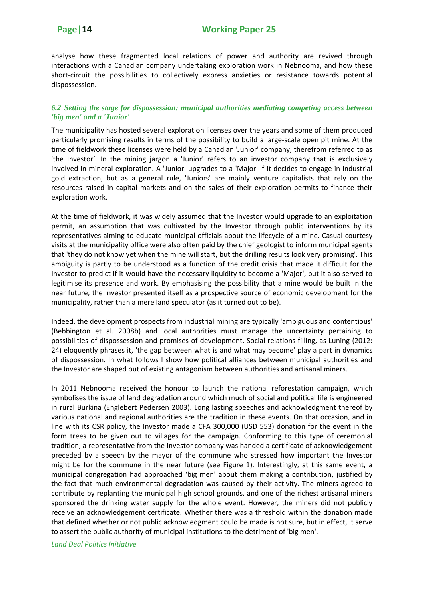analyse how these fragmented local relations of power and authority are revived through interactions with a Canadian company undertaking exploration work in Nebnooma, and how these short‐circuit the possibilities to collectively express anxieties or resistance towards potential dispossession.

#### *6.2 Setting the stage for dispossession: municipal authorities mediating competing access between 'big men' and a 'Junior'*

The municipality has hosted several exploration licenses over the years and some of them produced particularly promising results in terms of the possibility to build a large-scale open pit mine. At the time of fieldwork these licenses were held by a Canadian 'Junior' company, therefrom referred to as 'the Investor'. In the mining jargon a 'Junior' refers to an investor company that is exclusively involved in mineral exploration. A 'Junior' upgrades to a 'Major' if it decides to engage in industrial gold extraction, but as a general rule, 'Juniors' are mainly venture capitalists that rely on the resources raised in capital markets and on the sales of their exploration permits to finance their exploration work.

At the time of fieldwork, it was widely assumed that the Investor would upgrade to an exploitation permit, an assumption that was cultivated by the Investor through public interventions by its representatives aiming to educate municipal officials about the lifecycle of a mine. Casual courtesy visits at the municipality office were also often paid by the chief geologist to inform municipal agents that 'they do not know yet when the mine will start, but the drilling results look very promising'. This ambiguity is partly to be understood as a function of the credit crisis that made it difficult for the Investor to predict if it would have the necessary liquidity to become a 'Major', but it also served to legitimise its presence and work. By emphasising the possibility that a mine would be built in the near future, the Investor presented itself as a prospective source of economic development for the municipality, rather than a mere land speculator (as it turned out to be).

Indeed, the development prospects from industrial mining are typically 'ambiguous and contentious' (Bebbington et al. 2008b) and local authorities must manage the uncertainty pertaining to possibilities of dispossession and promises of development. Social relations filling, as Luning (2012: 24) eloquently phrases it, 'the gap between what is and what may become' play a part in dynamics of dispossession. In what follows I show how political alliances between municipal authorities and the Investor are shaped out of existing antagonism between authorities and artisanal miners.

In 2011 Nebnooma received the honour to launch the national reforestation campaign, which symbolises the issue of land degradation around which much of social and political life is engineered in rural Burkina (Englebert Pedersen 2003). Long lasting speeches and acknowledgment thereof by various national and regional authorities are the tradition in these events. On that occasion, and in line with its CSR policy, the Investor made a CFA 300,000 (USD 553) donation for the event in the form trees to be given out to villages for the campaign. Conforming to this type of ceremonial tradition, a representative from the Investor company was handed a certificate of acknowledgement preceded by a speech by the mayor of the commune who stressed how important the Investor might be for the commune in the near future (see Figure 1). Interestingly, at this same event, a municipal congregation had approached 'big men' about them making a contribution, justified by the fact that much environmental degradation was caused by their activity. The miners agreed to contribute by replanting the municipal high school grounds, and one of the richest artisanal miners sponsored the drinking water supply for the whole event. However, the miners did not publicly receive an acknowledgement certificate. Whether there was a threshold within the donation made that defined whether or not public acknowledgment could be made is not sure, but in effect, it serve to assert the public authority of municipal institutions to the detriment of 'big men'.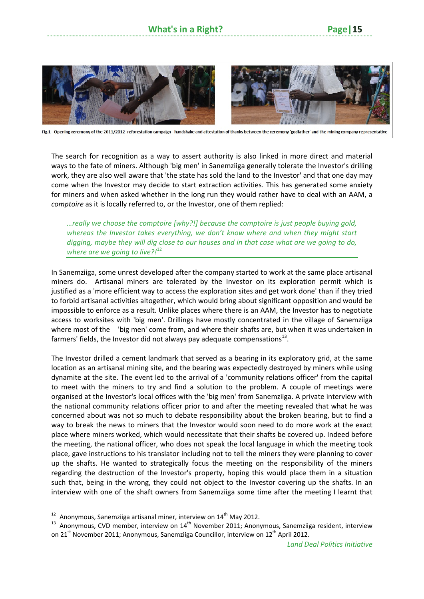#### **What's** in a Right?



Fig.1 - Opening ceremony of the 2011/2012 reforestation campaign - handshake and attestation of thanks between the ceremony 'godfather' and the mining company representative

The search for recognition as a way to assert authority is also linked in more direct and material ways to the fate of miners. Although 'big men' in Sanemziiga generally tolerate the Investor's drilling work, they are also well aware that 'the state has sold the land to the Investor' and that one day may come when the Investor may decide to start extraction activities. This has generated some anxiety for miners and when asked whether in the long run they would rather have to deal with an AAM, a *comptoire* as it is locally referred to, or the Investor, one of them replied:

*…really we choose the comptoire [why?!] because the comptoire is just people buying gold, whereas the Investor takes everything, we don't know where and when they might start digging, maybe they will dig close to our houses and in that case what are we going to do, where are we going to live?!*<sup>12</sup>

In Sanemziiga, some unrest developed after the company started to work at the same place artisanal miners do. Artisanal miners are tolerated by the Investor on its exploration permit which is justified as a 'more efficient way to access the exploration sites and get work done' than if they tried to forbid artisanal activities altogether, which would bring about significant opposition and would be impossible to enforce as a result. Unlike places where there is an AAM, the Investor has to negotiate access to worksites with 'big men'. Drillings have mostly concentrated in the village of Sanemziiga where most of the 'big men' come from, and where their shafts are, but when it was undertaken in farmers' fields, the Investor did not always pay adequate compensations $^{13}$ .

The Investor drilled a cement landmark that served as a bearing in its exploratory grid, at the same location as an artisanal mining site, and the bearing was expectedly destroyed by miners while using dynamite at the site. The event led to the arrival of a 'community relations officer' from the capital to meet with the miners to try and find a solution to the problem. A couple of meetings were organised at the Investor's local offices with the 'big men' from Sanemziiga. A private interview with the national community relations officer prior to and after the meeting revealed that what he was concerned about was not so much to debate responsibility about the broken bearing, but to find a way to break the news to miners that the Investor would soon need to do more work at the exact place where miners worked, which would necessitate that their shafts be covered up. Indeed before the meeting, the national officer, who does not speak the local language in which the meeting took place, gave instructions to his translator including not to tell the miners they were planning to cover up the shafts. He wanted to strategically focus the meeting on the responsibility of the miners regarding the destruction of the Investor's property, hoping this would place them in a situation such that, being in the wrong, they could not object to the Investor covering up the shafts. In an interview with one of the shaft owners from Sanemziiga some time after the meeting I learnt that

<sup>&</sup>lt;sup>12</sup> Anonymous, Sanemziiga artisanal miner, interview on 14<sup>th</sup> May 2012.<br><sup>13</sup> Anonymous, CVD member, interview on 14<sup>th</sup> November 2011; Anonymous, Sanemziiga resident, interview on 21 $^{\text{st}}$  November 2011; Anonymous, Sanemziiga Councillor, interview on 12<sup>th</sup> April 2012.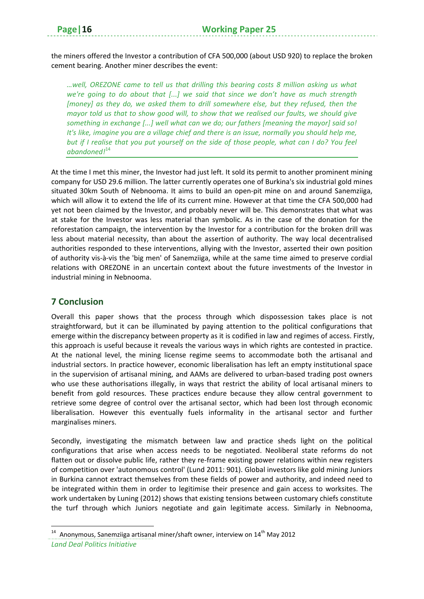the miners offered the Investor a contribution of CFA 500,000 (about USD 920) to replace the broken cement bearing. Another miner describes the event:

*…well, OREZONE came to tell us that drilling this bearing costs 8 million asking us what we're going to do about that [...] we said that since we don't have as much strength [money] as they do, we asked them to drill somewhere else, but they refused, then the mayor told us that to show good will, to show that we realised our faults, we should give something in exchange [...] well what can we do; our fathers [meaning the mayor] said so! It's like, imagine you are a village chief and there is an issue, normally you should help me,* but if I realise that you put yourself on the side of those people, what can I do? You feel *abandoned!*<sup>14</sup>

At the time I met this miner, the Investor had just left. It sold its permit to another prominent mining company for USD 29.6 million. The latter currently operates one of Burkina's six industrial gold mines situated 30km South of Nebnooma. It aims to build an open‐pit mine on and around Sanemziiga, which will allow it to extend the life of its current mine. However at that time the CFA 500,000 had yet not been claimed by the Investor, and probably never will be. This demonstrates that what was at stake for the Investor was less material than symbolic. As in the case of the donation for the reforestation campaign, the intervention by the Investor for a contribution for the broken drill was less about material necessity, than about the assertion of authority. The way local decentralised authorities responded to these interventions, allying with the Investor, asserted their own position of authority vis‐à‐vis the 'big men' of Sanemziiga, while at the same time aimed to preserve cordial relations with OREZONE in an uncertain context about the future investments of the Investor in industrial mining in Nebnooma.

#### **7 Conclusion**

Overall this paper shows that the process through which dispossession takes place is not straightforward, but it can be illuminated by paying attention to the political configurations that emerge within the discrepancy between property as it is codified in law and regimes of access. Firstly, this approach is useful because it reveals the various ways in which rights are contested in practice. At the national level, the mining license regime seems to accommodate both the artisanal and industrial sectors. In practice however, economic liberalisation has left an empty institutional space in the supervision of artisanal mining, and AAMs are delivered to urban‐based trading post owners who use these authorisations illegally, in ways that restrict the ability of local artisanal miners to benefit from gold resources. These practices endure because they allow central government to retrieve some degree of control over the artisanal sector, which had been lost through economic liberalisation. However this eventually fuels informality in the artisanal sector and further marginalises miners.

Secondly, investigating the mismatch between law and practice sheds light on the political configurations that arise when access needs to be negotiated. Neoliberal state reforms do not flatten out or dissolve public life, rather they re-frame existing power relations within new registers of competition over 'autonomous control' (Lund 2011: 901). Global investors like gold mining Juniors in Burkina cannot extract themselves from these fields of power and authority, and indeed need to be integrated within them in order to legitimise their presence and gain access to worksites. The work undertaken by Luning (2012) shows that existing tensions between customary chiefs constitute the turf through which Juniors negotiate and gain legitimate access. Similarly in Nebnooma,

*Land Deal Politics Initiative* <sup>14</sup> Anonymous, Sanemziiga artisanal miner/shaft owner, interview on  $14<sup>th</sup>$  May 2012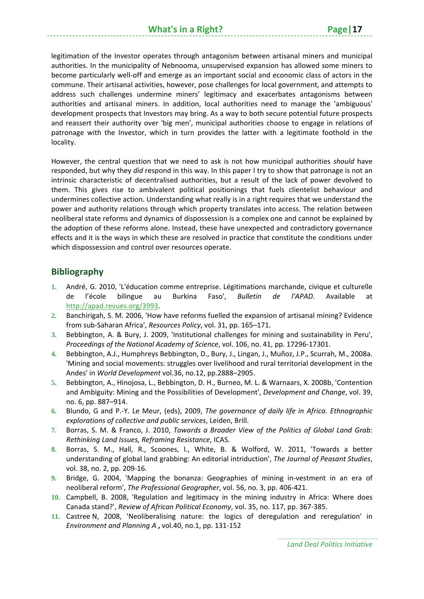legitimation of the Investor operates through antagonism between artisanal miners and municipal authorities. In the municipality of Nebnooma, unsupervised expansion has allowed some miners to become particularly well‐off and emerge as an important social and economic class of actors in the commune. Their artisanal activities, however, pose challenges for local government, and attempts to address such challenges undermine miners' legitimacy and exacerbates antagonisms between authorities and artisanal miners. In addition, local authorities need to manage the 'ambiguous' development prospects that Investors may bring. As a way to both secure potential future prospects and reassert their authority over 'big men', municipal authorities choose to engage in relations of patronage with the Investor, which in turn provides the latter with a legitimate foothold in the locality.

However, the central question that we need to ask is not how municipal authorities *should* have responded, but why they *did* respond in this way. In this paper I try to show that patronage is not an intrinsic characteristic of decentralised authorities, but a result of the lack of power devolved to them. This gives rise to ambivalent political positionings that fuels clientelist behaviour and undermines collective action. Understanding what really is in a right requires that we understand the power and authority relations through which property translates into access. The relation between neoliberal state reforms and dynamics of dispossession is a complex one and cannot be explained by the adoption of these reforms alone. Instead, these have unexpected and contradictory governance effects and it is the ways in which these are resolved in practice that constitute the conditions under which dispossession and control over resources operate.

#### **Bibliography**

- **1.** André, G. 2010, 'L'éducation comme entreprise. Légitimations marchande, civique et culturelle de l'école bilingue au Burkina Faso', *Bulletin de l'APAD*. Available at http://apad.revues.org/3993.
- **2.** Banchirigah, S. M. 2006, 'How have reforms fuelled the expansion of artisanal mining? Evidence from sub‐Saharan Africa', *Resources Policy*, vol. 31, pp. 165–171.
- **3.** Bebbington, A. & Bury, J. 2009, 'Institutional challenges for mining and sustainability in Peru', *Proceedings of the National Academy of Science*, vol. 106, no. 41, pp. 17296‐17301.
- **4.** Bebbington, A.J., Humphreys Bebbington, D., Bury, J., Lingan, J., Muñoz, J.P., Scurrah, M., 2008a. 'Mining and social movements: struggles over livelihood and rural territorial development in the Andes' in *World Development* vol.36, no.12, pp.2888–2905.
- **5.** Bebbington, A., Hinojosa, L., Bebbington, D. H., Burneo, M. L. & Warnaars, X. 2008b, 'Contention and Ambiguity: Mining and the Possibilities of Development', *Development and Change*, vol. 39, no. 6, pp. 887–914.
- **6.** Blundo, G and P.‐Y. Le Meur, (eds), 2009, *The governance of daily life in Africa. Ethnographic explorations of collective and public services*, Leiden, Brill.
- **7.** Borras, S. M. & Franco, J. 2010, *Towards a Broader View of the Politics of Global Land Grab: Rethinking Land Issues, Reframing Resistance*, ICAS.
- **8.** Borras, S. M., Hall, R., Scoones, I., White, B. & Wolford, W. 2011, 'Towards a better understanding of global land grabbing: An editorial intriduction', *The Journal of Peasant Studies*, vol. 38, no. 2, pp. 209‐16.
- **9.** Bridge, G. 2004, 'Mapping the bonanza: Geographies of mining in‐vestment in an era of neoliberal reform', *The Professional Geographer*, vol. 56, no. 3, pp. 406‐421.
- **10.** Campbell, B. 2008, 'Regulation and legitimacy in the mining industry in Africa: Where does Canada stand?', *Review of African Political Economy*, vol. 35, no. 117, pp. 367‐385.
- **11.** Castree N, 2008, 'Neoliberalising nature: the logics of deregulation and reregulation' in *Environment and Planning A* **,** vol.40, no.1, pp. 131‐152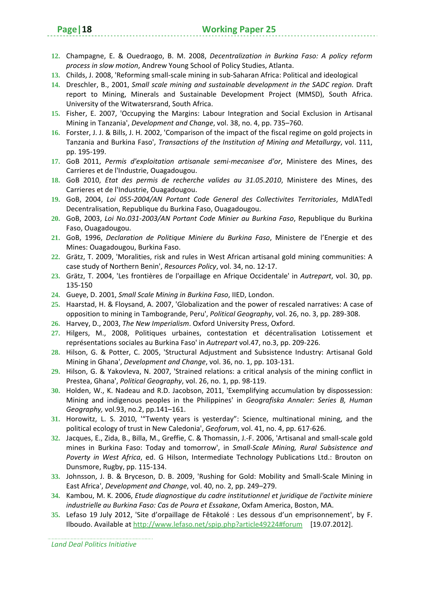- **12.** Champagne, E. & Ouedraogo, B. M. 2008, *Decentralization in Burkina Faso: A policy reform process in slow motion*, Andrew Young School of Policy Studies, Atlanta.
- **13.** Childs, J. 2008, 'Reforming small‐scale mining in sub‐Saharan Africa: Political and ideological
- **14.** Dreschler, B., 2001, *Small scale mining and sustainable development in the SADC region.* Draft report to Mining, Minerals and Sustainable Development Project (MMSD), South Africa. University of the Witwatersrand, South Africa.
- **15.** Fisher, E. 2007, 'Occupying the Margins: Labour Integration and Social Exclusion in Artisanal Mining in Tanzania', *Development and Change*, vol. 38, no. 4, pp. 735–760.
- **16.** Forster, J. J. & Bills, J. H. 2002, 'Comparison of the impact of the fiscal regime on gold projects in Tanzania and Burkina Faso', *Transactions of the Institution of Mining and Metallurgy*, vol. 111, pp. 195‐199.
- **17.** GoB 2011, *Permis d'exploitation artisanale semi‐mecanisee d'or*, Ministere des Mines, des Carrieres et de l'Industrie, Ouagadougou.
- **18.** GoB 2010, *Etat des permis de recherche valides au 31.05.2010*, Ministere des Mines, des Carrieres et de l'Industrie, Ouagadougou.
- **19.** GoB, 2004, *Loi 055‐2004/AN Portant Code General des Collectivites Territoriales*, MdlATedl Decentralisation, Republique du Burkina Faso, Ouagadougou.
- **20.** GoB, 2003, *Loi No.031‐2003/AN Portant Code Minier au Burkina Faso*, Republique du Burkina Faso, Ouagadougou.
- **21.** GoB, 1996, *Declaration de Politique Miniere du Burkina Faso*, Ministere de l'Energie et des Mines: Ouagadougou, Burkina Faso.
- **22.** Grätz, T. 2009, 'Moralities, risk and rules in West African artisanal gold mining communities: A case study of Northern Benin', *Resources Policy*, vol. 34, no. 12‐17.
- **23.** Grätz, T. 2004, 'Les frontières de l'orpaillage en Afrique Occidentale' in *Autrepart*, vol. 30, pp. 135‐150
- **24.** Gueye, D. 2001, *Small Scale Mining in Burkina Faso*, IIED, London.
- **25.** Haarstad, H. & Floysand, A. 2007, 'Globalization and the power of rescaled narratives: A case of opposition to mining in Tambogrande, Peru', *Political Geography*, vol. 26, no. 3, pp. 289‐308.
- **26.** Harvey, D., 2003, *The New Imperialism*. Oxford University Press, Oxford.
- **27.** Hilgers, M., 2008, Politiques urbaines, contestation et décentralisation Lotissement et représentations sociales au Burkina Faso' in *Autrepart* vol.47, no.3, pp. 209‐226.
- **28.** Hilson, G. & Potter, C. 2005, 'Structural Adjustment and Subsistence Industry: Artisanal Gold Mining in Ghana', *Development and Change*, vol. 36, no. 1, pp. 103‐131.
- **29.** Hilson, G. & Yakovleva, N. 2007, 'Strained relations: a critical analysis of the mining conflict in Prestea, Ghana', *Political Geography*, vol. 26, no. 1, pp. 98‐119.
- **30.** Holden, W., K. Nadeau and R.D. Jacobson, 2011, 'Exemplifying accumulation by dispossession: Mining and indigenous peoples in the Philippines' in *Geografiska Annaler: Series B, Human Geography,* vol.93, no.2, pp.141–161.
- **31.** Horowitz, L. S. 2010, '"Twenty years is yesterday": Science, multinational mining, and the political ecology of trust in New Caledonia', *Geoforum*, vol. 41, no. 4, pp. 617‐626.
- **32.** Jacques, E., Zida, B., Billa, M., Greffie, C. & Thomassin, J.‐F. 2006, 'Artisanal and small‐scale gold mines in Burkina Faso: Today and tomorrow', in *Small‐Scale Mining, Rural Subsistence and Poverty in West Africa*, ed. G Hilson, Intermediate Technology Publications Ltd.: Brouton on Dunsmore, Rugby, pp. 115‐134.
- **33.** Johnsson, J. B. & Bryceson, D. B. 2009, 'Rushing for Gold: Mobility and Small‐Scale Mining in East Africa', *Development and Change*, vol. 40, no. 2, pp. 249–279.
- **34.** Kambou, M. K. 2006, *Etude diagnostique du cadre institutionnel et juridique de l'activite miniere industrielle au Burkina Faso: Cas de Poura et Essakane*, Oxfam America, Boston, MA.
- **35.** Lefaso 19 July 2012, 'Site d'orpaillage de Fêtakolé : Les dessous d'un emprisonnement', by F. Ilboudo. Available at http://www.lefaso.net/spip.php?article49224#forum [19.07.2012].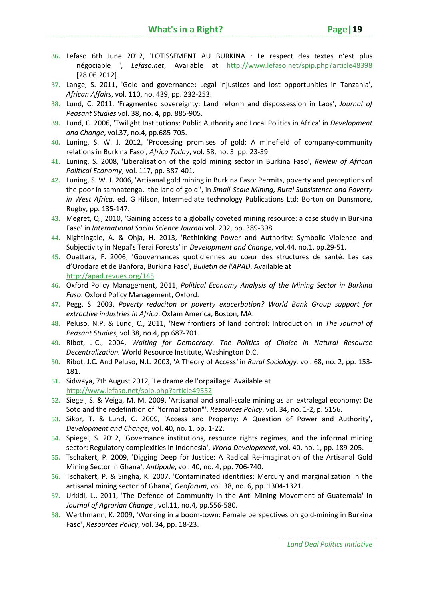- **36.** Lefaso 6th June 2012, 'LOTISSEMENT AU BURKINA : Le respect des textes n'est plus négociable ', *Lefaso.net*, Available at http://www.lefaso.net/spip.php?article48398 [28.06.2012].
- **37.** Lange, S. 2011, 'Gold and governance: Legal injustices and lost opportunities in Tanzania', *African Affairs*, vol. 110, no. 439, pp. 232‐253.
- **38.** Lund, C. 2011, 'Fragmented sovereignty: Land reform and dispossession in Laos', *Journal of Peasant Studies* vol. 38, no. 4, pp. 885‐905.
- **39.** Lund, C. 2006, 'Twilight Institutions: Public Authority and Local Politics in Africa' in *Development and Change*, vol.37, no.4, pp.685‐705.
- **40.** Luning, S. W. J. 2012, 'Processing promises of gold: A minefield of company‐community relations in Burkina Faso', *Africa Today*, vol. 58, no. 3, pp. 23‐39.
- **41.** Luning, S. 2008, 'Liberalisation of the gold mining sector in Burkina Faso', *Review of African Political Economy*, vol. 117, pp. 387‐401.
- **42.** Luning, S. W. J. 2006, 'Artisanal gold mining in Burkina Faso: Permits, poverty and perceptions of the poor in samnatenga, 'the land of gold'', in *Small‐Scale Mining, Rural Subsistence and Poverty in West Africa*, ed. G Hilson, Intermediate technology Publications Ltd: Borton on Dunsmore, Rugby, pp. 135‐147.
- **43.** Megret, Q., 2010, 'Gaining access to a globally coveted mining resource: a case study in Burkina Faso' in *International Social Science Journal* vol. 202, pp. 389‐398.
- **44.** Nightingale, A. & Ohja, H. 2013, 'Rethinking Power and Authority: Symbolic Violence and Subjectivity in Nepal's Terai Forests' in *Development and Change*, vol.44, no.1, pp.29‐51.
- **45.** Ouattara, F. 2006, 'Gouvernances quotidiennes au cœur des structures de santé. Les cas d'Orodara et de Banfora, Burkina Faso', *Bulletin de l'APAD*. Available at http://apad.revues.org/145
- **46.** Oxford Policy Management, 2011, *Political Economy Analysis of the Mining Sector in Burkina Faso*. Oxford Policy Management, Oxford.
- **47.** Pegg, S. 2003, *Poverty reduciton or poverty exacerbation? World Bank Group support for extractive industries in Africa*, Oxfam America, Boston, MA.
- **48.** Peluso, N.P. & Lund, C., 2011, 'New frontiers of land control: Introduction' in *The Journal of Peasant Studies*, vol.38, no.4, pp.687‐701.
- **49.** Ribot, J.C., 2004, *Waiting for Democracy. The Politics of Choice in Natural Resource Decentralization.* World Resource Institute, Washington D.C.
- **50.** Ribot, J.C. And Peluso, N.L. 2003, 'A Theory of Access*'* in *Rural Sociology.* vol. 68, no. 2, pp. 153‐ 181.
- **51.** Sidwaya, 7th August 2012, 'Le drame de l'orpaillage' Available at http://www.lefaso.net/spip.php?article49552.
- **52.** Siegel, S. & Veiga, M. M. 2009, 'Artisanal and small‐scale mining as an extralegal economy: De Soto and the redefinition of "formalization"', *Resources Policy*, vol. 34, no. 1‐2, p. 5156.
- **53.** Sikor, T. & Lund, C. 2009, 'Access and Property: A Question of Power and Authority', *Development and Change*, vol. 40, no. 1, pp. 1‐22.
- **54.** Spiegel, S. 2012, 'Governance institutions, resource rights regimes, and the informal mining sector: Regulatory complexities in Indonesia', *World Development*, vol. 40, no. 1, pp. 189‐205.
- **55.** Tschakert, P. 2009, 'Digging Deep for Justice: A Radical Re‐imagination of the Artisanal Gold Mining Sector in Ghana', *Antipode*, vol. 40, no. 4, pp. 706‐740.
- **56.** Tschakert, P. & Singha, K. 2007, 'Contaminated identities: Mercury and marginalization in the artisanal mining sector of Ghana', *Geoforum*, vol. 38, no. 6, pp. 1304‐1321.
- **57.** Urkidi, L., 2011, 'The Defence of Community in the Anti‐Mining Movement of Guatemala' in *Journal of Agrarian Change ,* vol*.*11, no.4, pp.556‐580.
- **58.** Werthmann, K. 2009, 'Working in a boom‐town: Female perspectives on gold‐mining in Burkina Faso', *Resources Policy*, vol. 34, pp. 18‐23.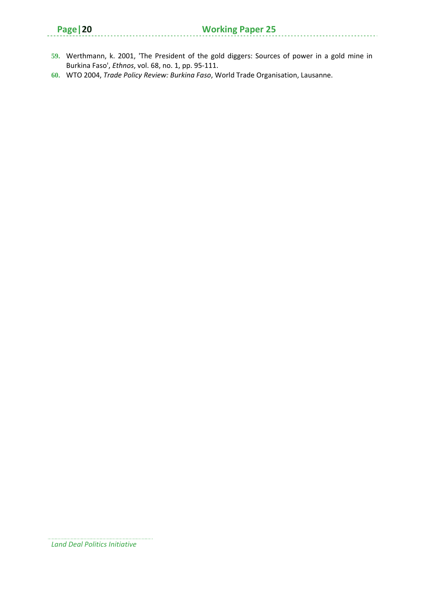|  | ٠ |
|--|---|
|--|---|

- **59.** Werthmann, k. 2001, 'The President of the gold diggers: Sources of power in a gold mine in Burkina Faso', *Ethnos*, vol. 68, no. 1, pp. 95‐111.
- **60.** WTO 2004, *Trade Policy Review: Burkina Faso*, World Trade Organisation, Lausanne.

*Land Deal Politics Initiative*